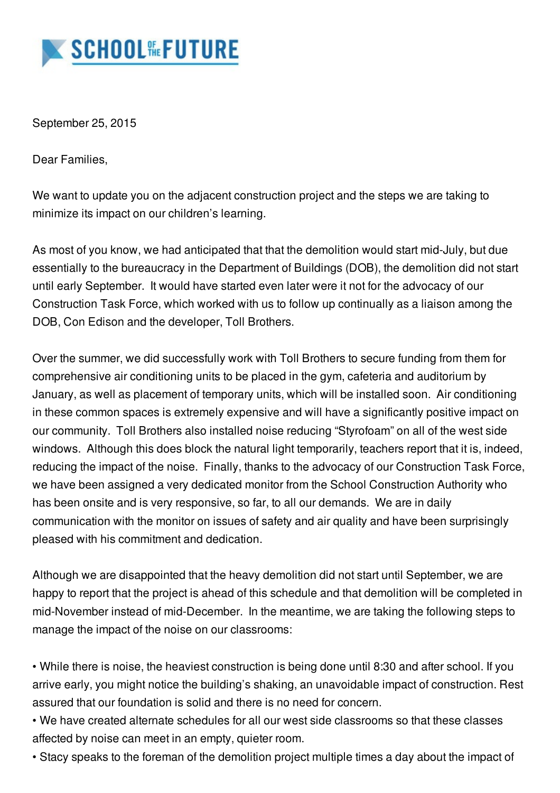

September 25, 2015

Dear Families,

We want to update you on the adjacent construction project and the steps we are taking to minimize its impact on our children's learning.

As most of you know, we had anticipated that that the demolition would start mid-July, but due essentially to the bureaucracy in the Department of Buildings (DOB), the demolition did not start until early September. It would have started even later were it not for the advocacy of our Construction Task Force, which worked with us to follow up continually as a liaison among the DOB, Con Edison and the developer, Toll Brothers.

Over the summer, we did successfully work with Toll Brothers to secure funding from them for comprehensive air conditioning units to be placed in the gym, cafeteria and auditorium by January, as well as placement of temporary units, which will be installed soon. Air conditioning in these common spaces is extremely expensive and will have a significantly positive impact on our community. Toll Brothers also installed noise reducing "Styrofoam" on all of the west side windows. Although this does block the natural light temporarily, teachers report that it is, indeed, reducing the impact of the noise. Finally, thanks to the advocacy of our Construction Task Force, we have been assigned a very dedicated monitor from the School Construction Authority who has been onsite and is very responsive, so far, to all our demands. We are in daily communication with the monitor on issues of safety and air quality and have been surprisingly pleased with his commitment and dedication.

Although we are disappointed that the heavy demolition did not start until September, we are happy to report that the project is ahead of this schedule and that demolition will be completed in mid-November instead of mid-December. In the meantime, we are taking the following steps to manage the impact of the noise on our classrooms:

• While there is noise, the heaviest construction is being done until 8:30 and after school. If you arrive early, you might notice the building's shaking, an unavoidable impact of construction. Rest assured that our foundation is solid and there is no need for concern.

• We have created alternate schedules for all our west side classrooms so that these classes affected by noise can meet in an empty, quieter room.

• Stacy speaks to the foreman of the demolition project multiple times a day about the impact of